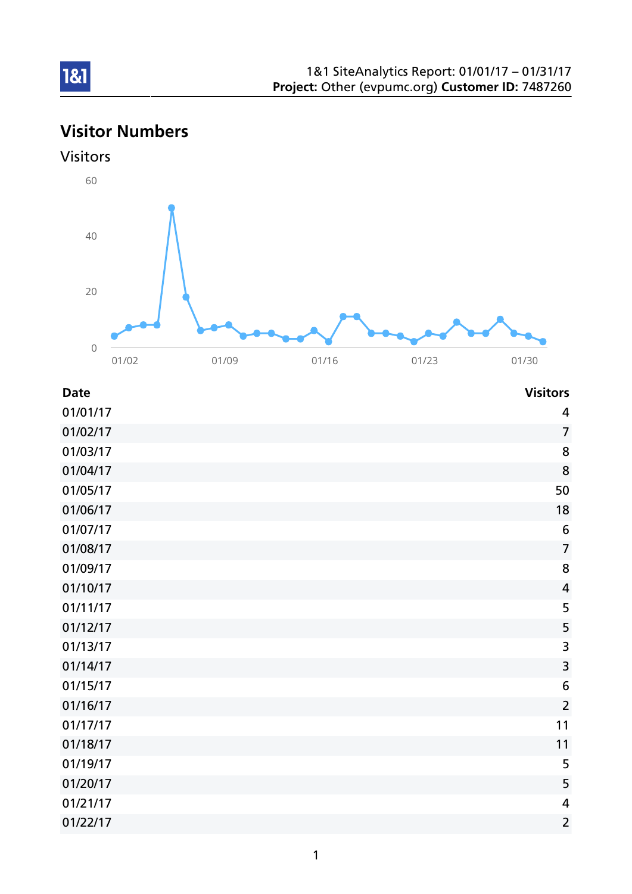# Visitor Numbers





| <b>Date</b> | <b>Visitors</b>         |
|-------------|-------------------------|
| 01/01/17    | 4                       |
| 01/02/17    | $\overline{7}$          |
| 01/03/17    | 8                       |
| 01/04/17    | 8                       |
| 01/05/17    | 50                      |
| 01/06/17    | 18                      |
| 01/07/17    | $6\phantom{1}6$         |
| 01/08/17    | $\overline{7}$          |
| 01/09/17    | 8                       |
| 01/10/17    | $\overline{4}$          |
| 01/11/17    | 5                       |
| 01/12/17    | 5                       |
| 01/13/17    | 3                       |
| 01/14/17    | $\overline{\mathbf{3}}$ |
| 01/15/17    | 6                       |
| 01/16/17    | $\overline{2}$          |
| 01/17/17    | 11                      |
| 01/18/17    | 11                      |
| 01/19/17    | 5                       |
| 01/20/17    | 5                       |
| 01/21/17    | $\overline{a}$          |
| 01/22/17    | $\overline{2}$          |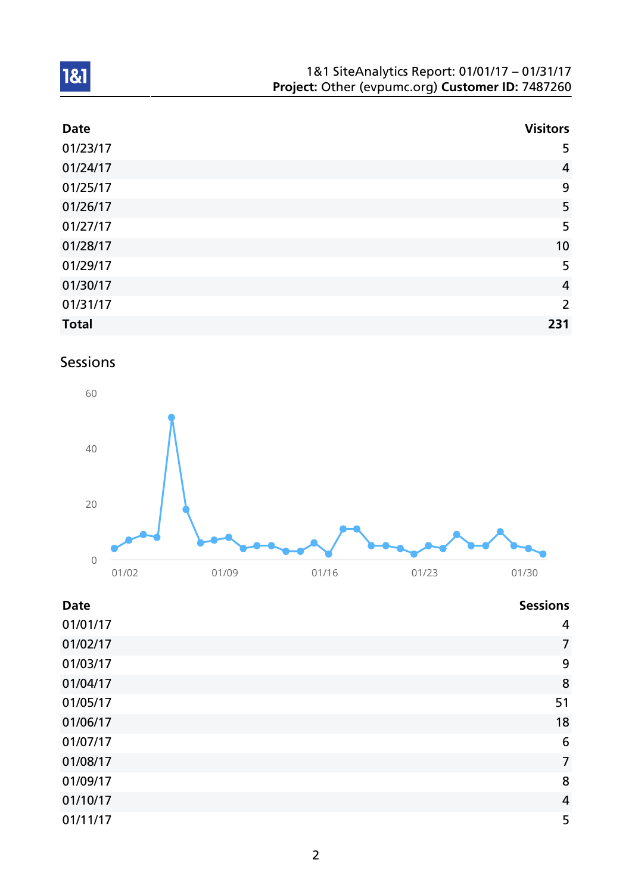| 1&1 SiteAnalytics Report: 01/01/17 - 01/31/17    |  |
|--------------------------------------------------|--|
| Project: Other (evpumc.org) Customer ID: 7487260 |  |

| <b>Date</b>  | <b>Visitors</b> |
|--------------|-----------------|
| 01/23/17     | 5               |
| 01/24/17     | $\overline{4}$  |
| 01/25/17     | 9               |
| 01/26/17     | 5               |
| 01/27/17     | 5               |
| 01/28/17     | 10              |
| 01/29/17     | 5               |
| 01/30/17     | $\overline{4}$  |
| 01/31/17     | 2               |
| <b>Total</b> | 231             |

# Sessions



| <b>Date</b> | <b>Sessions</b> |
|-------------|-----------------|
| 01/01/17    | 4               |
| 01/02/17    | $\overline{7}$  |
| 01/03/17    | 9               |
| 01/04/17    | 8               |
| 01/05/17    | 51              |
| 01/06/17    | 18              |
| 01/07/17    | 6               |
| 01/08/17    | $\overline{7}$  |
| 01/09/17    | 8               |
| 01/10/17    | $\overline{4}$  |
| 01/11/17    | 5               |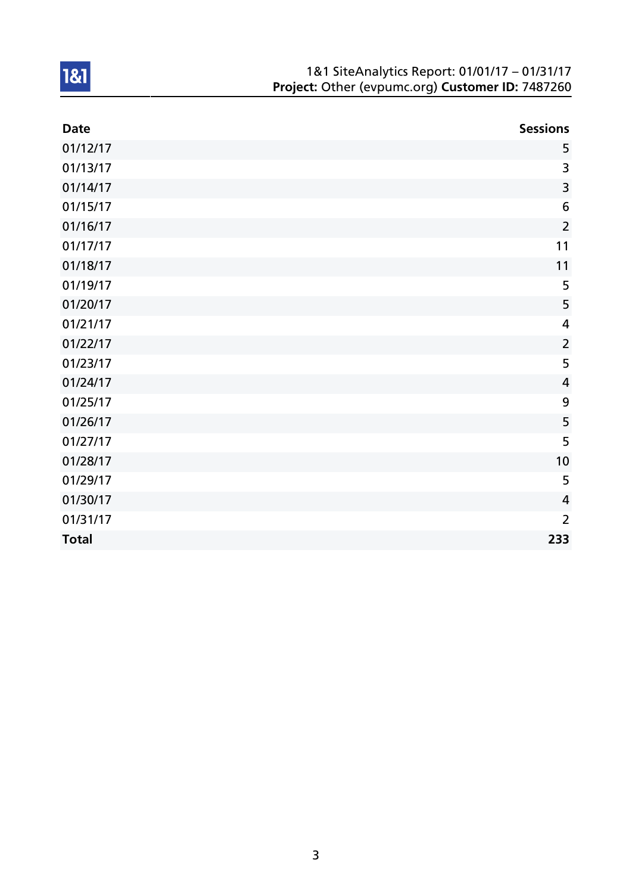| 1&1 SiteAnalytics Report: 01/01/17 - 01/31/17    |
|--------------------------------------------------|
| Project: Other (evpumc.org) Customer ID: 7487260 |

| <b>Date</b>  | <b>Sessions</b>         |
|--------------|-------------------------|
| 01/12/17     | 5                       |
| 01/13/17     | 3                       |
| 01/14/17     | $\overline{\mathbf{3}}$ |
| 01/15/17     | 6                       |
| 01/16/17     | $\overline{2}$          |
| 01/17/17     | 11                      |
| 01/18/17     | 11                      |
| 01/19/17     | 5                       |
| 01/20/17     | 5                       |
| 01/21/17     | $\overline{4}$          |
| 01/22/17     | $\overline{2}$          |
| 01/23/17     | 5                       |
| 01/24/17     | $\overline{4}$          |
| 01/25/17     | $\boldsymbol{9}$        |
| 01/26/17     | 5                       |
| 01/27/17     | 5                       |
| 01/28/17     | 10                      |
| 01/29/17     | 5                       |
| 01/30/17     | $\overline{4}$          |
| 01/31/17     | $\overline{2}$          |
| <b>Total</b> | 233                     |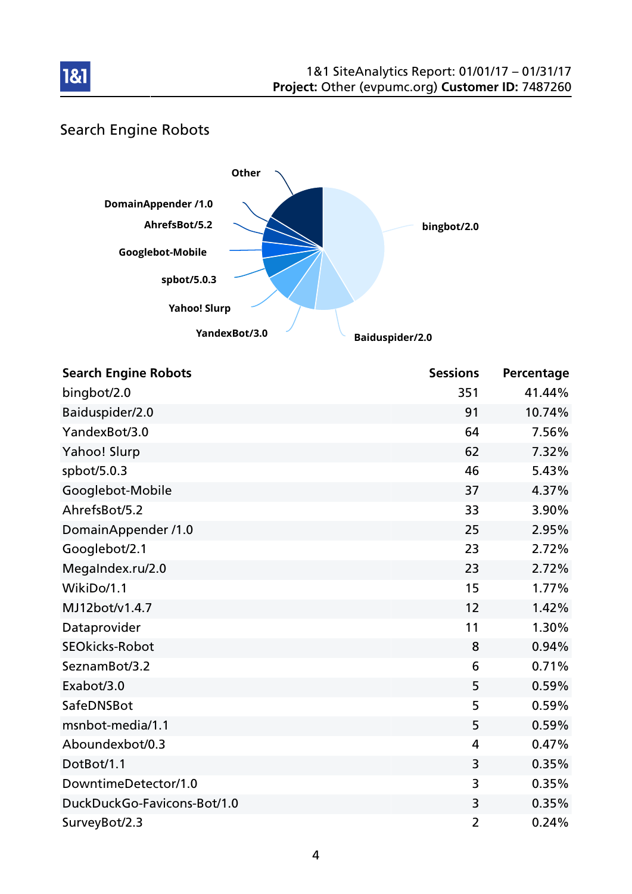

## Search Engine Robots



| <b>Search Engine Robots</b> | <b>Sessions</b> | Percentage |
|-----------------------------|-----------------|------------|
| bingbot/2.0                 | 351             | 41.44%     |
| Baiduspider/2.0             | 91              | 10.74%     |
| YandexBot/3.0               | 64              | 7.56%      |
| Yahoo! Slurp                | 62              | 7.32%      |
| spbot/5.0.3                 | 46              | 5.43%      |
| Googlebot-Mobile            | 37              | 4.37%      |
| AhrefsBot/5.2               | 33              | 3.90%      |
| DomainAppender /1.0         | 25              | 2.95%      |
| Googlebot/2.1               | 23              | 2.72%      |
| MegaIndex.ru/2.0            | 23              | 2.72%      |
| WikiDo/1.1                  | 15              | 1.77%      |
| MJ12bot/v1.4.7              | 12              | 1.42%      |
| Dataprovider                | 11              | 1.30%      |
| <b>SEOkicks-Robot</b>       | 8               | 0.94%      |
| SeznamBot/3.2               | 6               | 0.71%      |
| Exabot/3.0                  | 5               | 0.59%      |
| SafeDNSBot                  | 5               | 0.59%      |
| msnbot-media/1.1            | 5               | 0.59%      |
| Aboundexbot/0.3             | $\overline{4}$  | 0.47%      |
| DotBot/1.1                  | 3               | 0.35%      |
| DowntimeDetector/1.0        | 3               | 0.35%      |
| DuckDuckGo-Favicons-Bot/1.0 | 3               | 0.35%      |
| SurveyBot/2.3               | $\overline{2}$  | 0.24%      |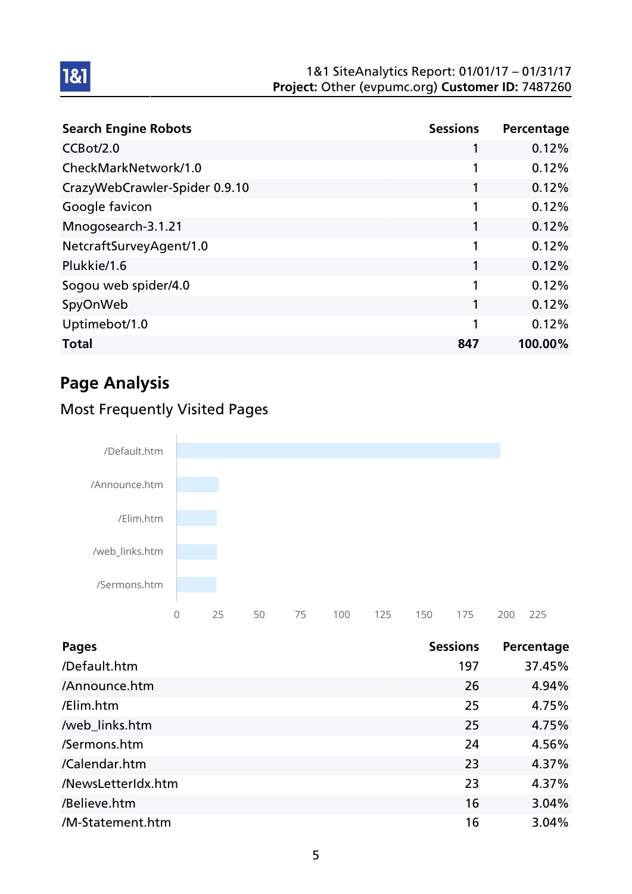#### 1&1 SiteAnalytics Report: 01/01/17 – 01/31/17 Project: Other (evpumc.org) Customer ID: 7487260

| <b>Search Engine Robots</b>   | <b>Sessions</b> | Percentage |
|-------------------------------|-----------------|------------|
| CCBot/2.0                     | 1               | 0.12%      |
| CheckMarkNetwork/1.0          | 1               | 0.12%      |
| CrazyWebCrawler-Spider 0.9.10 |                 | 0.12%      |
| Google favicon                | 1               | 0.12%      |
| Mnogosearch-3.1.21            | 1               | 0.12%      |
| NetcraftSurveyAgent/1.0       | 1               | 0.12%      |
| Plukkie/1.6                   | 1               | 0.12%      |
| Sogou web spider/4.0          | 1               | 0.12%      |
| SpyOnWeb                      | 1               | 0.12%      |
| Uptimebot/1.0                 |                 | 0.12%      |
| <b>Total</b>                  | 847             | 100.00%    |

# Page Analysis

1&1

## Most Frequently Visited Pages



| <b>Pages</b>       | <b>Sessions</b> | Percentage |
|--------------------|-----------------|------------|
| /Default.htm       | 197             | 37.45%     |
| /Announce.htm      | 26              | 4.94%      |
| /Elim.htm          | 25              | 4.75%      |
| /web_links.htm     | 25              | 4.75%      |
| /Sermons.htm       | 24              | 4.56%      |
| /Calendar.htm      | 23              | 4.37%      |
| /NewsLetterIdx.htm | 23              | 4.37%      |
| /Believe.htm       | 16              | 3.04%      |
| /M-Statement.htm   | 16              | 3.04%      |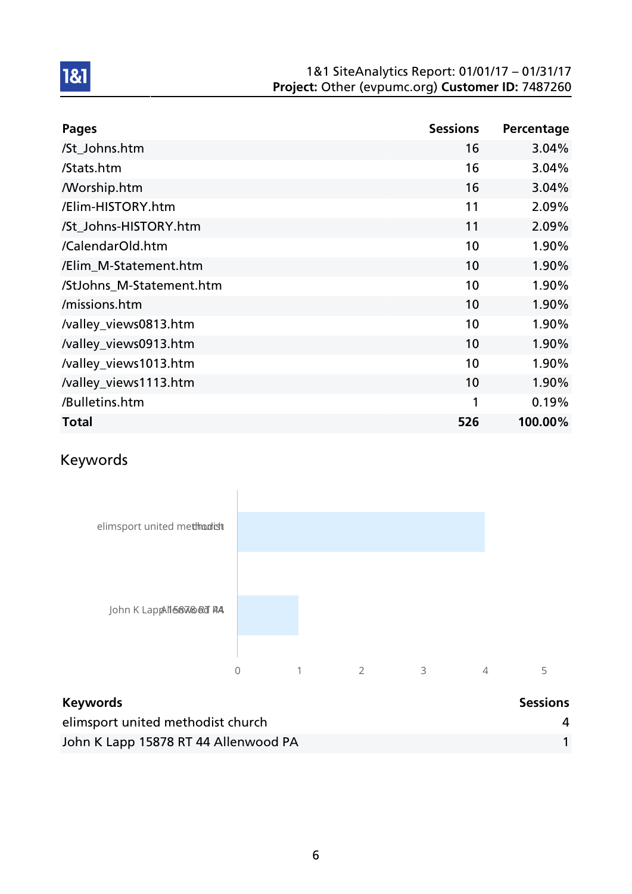#### 1&1 SiteAnalytics Report: 01/01/17 – 01/31/17 Project: Other (evpumc.org) Customer ID: 7487260

| <b>Pages</b>             | <b>Sessions</b> | Percentage |
|--------------------------|-----------------|------------|
| /St_Johns.htm            | 16              | 3.04%      |
| /Stats.htm               | 16              | 3.04%      |
| <b>Morship.htm</b>       | 16              | 3.04%      |
| /Elim-HISTORY.htm        | 11              | 2.09%      |
| /St Johns-HISTORY.htm    | 11              | 2.09%      |
| /CalendarOld.htm         | 10              | 1.90%      |
| /Elim_M-Statement.htm    | 10              | 1.90%      |
| /StJohns M-Statement.htm | 10              | 1.90%      |
| /missions.htm            | 10              | 1.90%      |
| /valley_views0813.htm    | 10              | 1.90%      |
| /valley_views0913.htm    | 10              | 1.90%      |
| /valley_views1013.htm    | 10              | 1.90%      |
| /valley_views1113.htm    | 10              | 1.90%      |
| /Bulletins.htm           | 1               | 0.19%      |
| <b>Total</b>             | 526             | 100.00%    |

## Keywords



| <b>Keywords</b>                      | <b>Sessions</b> |
|--------------------------------------|-----------------|
| elimsport united methodist church    |                 |
| John K Lapp 15878 RT 44 Allenwood PA |                 |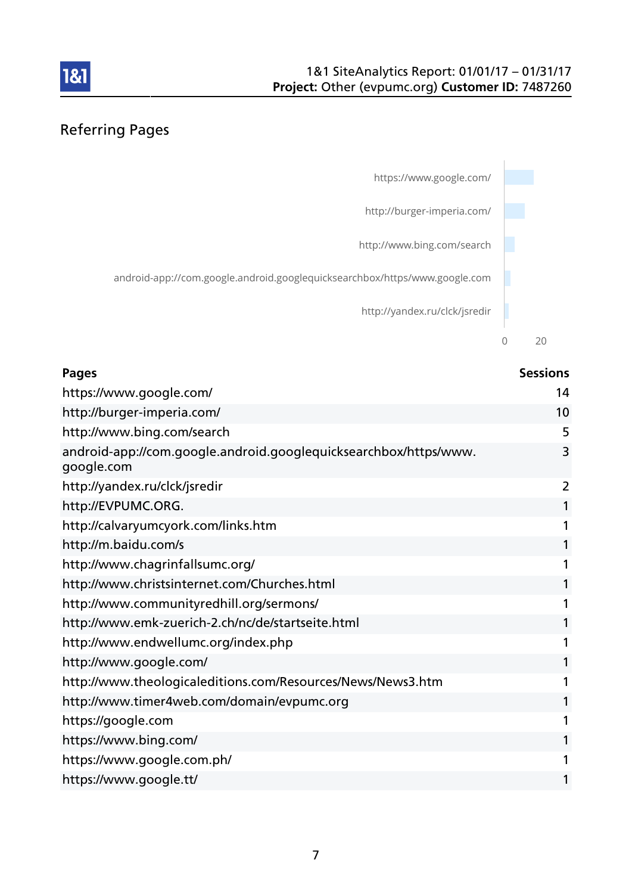



| <b>Pages</b>                                                                   | <b>Sessions</b> |
|--------------------------------------------------------------------------------|-----------------|
| https://www.google.com/                                                        | 14              |
| http://burger-imperia.com/                                                     | 10              |
| http://www.bing.com/search                                                     | 5               |
| android-app://com.google.android.googlequicksearchbox/https/www.<br>google.com | 3               |
| http://yandex.ru/clck/jsredir                                                  | 2               |
| http://EVPUMC.ORG.                                                             | 1               |
| http://calvaryumcyork.com/links.htm                                            | 1               |
| http://m.baidu.com/s                                                           | 1               |
| http://www.chagrinfallsumc.org/                                                | 1               |
| http://www.christsinternet.com/Churches.html                                   | 1               |
| http://www.communityredhill.org/sermons/                                       | 1               |
| http://www.emk-zuerich-2.ch/nc/de/startseite.html                              | 1               |
| http://www.endwellumc.org/index.php                                            | 1               |
| http://www.google.com/                                                         | 1               |
| http://www.theologicaleditions.com/Resources/News/News3.htm                    | 1               |
| http://www.timer4web.com/domain/evpumc.org                                     | 1               |
| https://google.com                                                             | 1               |
| https://www.bing.com/                                                          | 1               |
| https://www.google.com.ph/                                                     | 1               |
| https://www.google.tt/                                                         | 1               |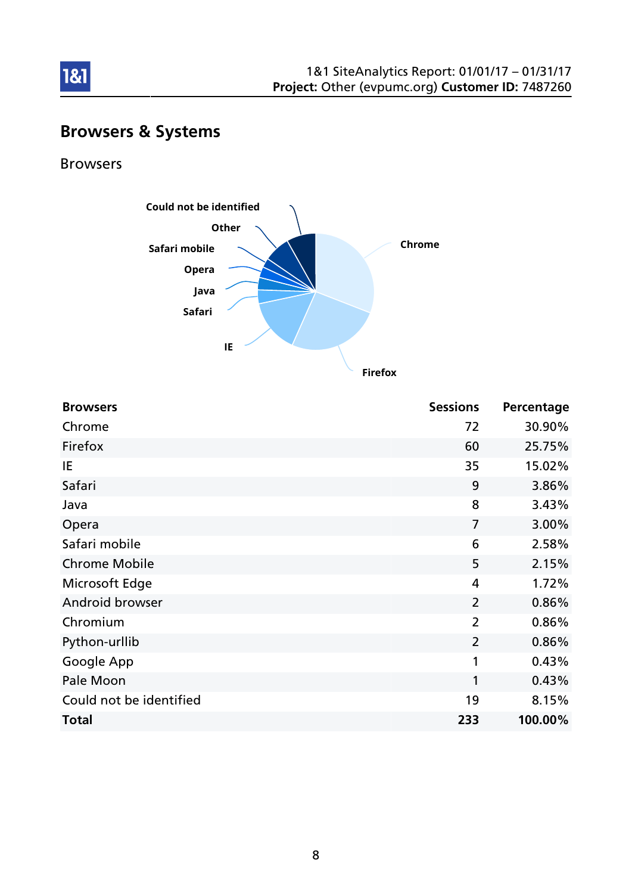

### Browsers & Systems

#### Browsers

1&1



Browsers **Browsers Browsers Browsers Browsers Browsers Browsers Browsers Browsers Browsers Browsers Browsers Browsers Browsers Browsers Browsers Browsers Browsers Browsers Browsers Bro** Chrome 72 30.90% Firefox 60 25.75% IE  $35$  15.02% Safari 9 3.86% Java 8 3.43% Opera 7 3.00% Safari mobile **6** 2.58% Chrome Mobile 2.15% Microsoft Edge 1.72% Android browser 2 0.86% Chromium 2 0.86% Python-urllib 2 0.86% Google App 1 0.43% Pale Moon 2012 1 0.43% Could not be identified and the interval of the 19 and 19 and 19 and 19 and 19 and 19 and 19 and 19 and 19 and 19 and 19 and 19 and 19 and 19 and 19 and 19 and 19 and 19 and 19 and 19 and 19 and 19 and 19 and 19 and 19 and Total 233 100.00%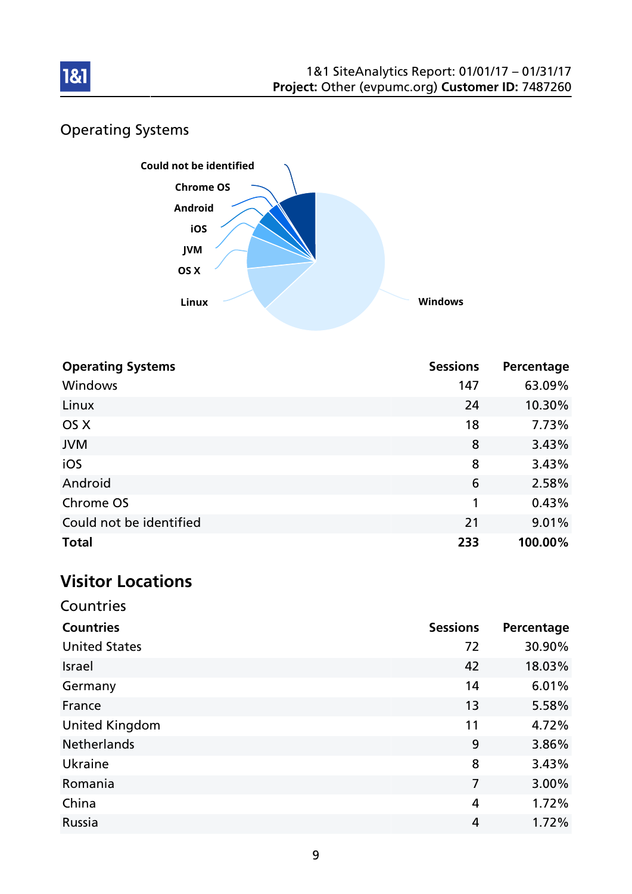

## Operating Systems



| <b>Operating Systems</b> | <b>Sessions</b> | Percentage |
|--------------------------|-----------------|------------|
| Windows                  | 147             | 63.09%     |
| Linux                    | 24              | 10.30%     |
| OS X                     | 18              | 7.73%      |
| <b>JVM</b>               | 8               | 3.43%      |
| iOS                      | 8               | 3.43%      |
| Android                  | 6               | 2.58%      |
| Chrome OS                | 1               | 0.43%      |
| Could not be identified  | 21              | 9.01%      |
| <b>Total</b>             | 233             | 100.00%    |

# Visitor Locations

| Countries             |                 |            |
|-----------------------|-----------------|------------|
| <b>Countries</b>      | <b>Sessions</b> | Percentage |
| <b>United States</b>  | 72              | 30.90%     |
| Israel                | 42              | 18.03%     |
| Germany               | 14              | 6.01%      |
| France                | 13              | 5.58%      |
| <b>United Kingdom</b> | 11              | 4.72%      |
| <b>Netherlands</b>    | 9               | 3.86%      |
| Ukraine               | 8               | 3.43%      |
| Romania               | 7               | 3.00%      |
| China                 | 4               | 1.72%      |
| Russia                | 4               | 1.72%      |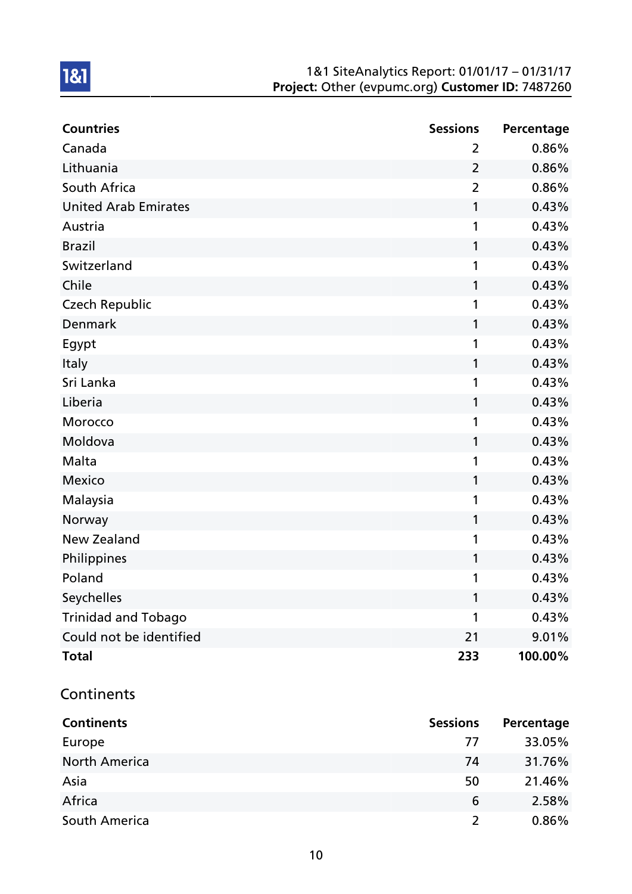#### 1&1 SiteAnalytics Report: 01/01/17 – 01/31/17 Project: Other (evpumc.org) Customer ID: 7487260

| <b>Countries</b>            | <b>Sessions</b> | Percentage |
|-----------------------------|-----------------|------------|
| Canada                      | $\overline{2}$  | 0.86%      |
| Lithuania                   | $\overline{2}$  | 0.86%      |
| South Africa                | $\overline{2}$  | 0.86%      |
| <b>United Arab Emirates</b> | 1               | 0.43%      |
| Austria                     | 1               | 0.43%      |
| <b>Brazil</b>               | 1               | 0.43%      |
| Switzerland                 | 1               | 0.43%      |
| Chile                       | 1               | 0.43%      |
| <b>Czech Republic</b>       | 1               | 0.43%      |
| Denmark                     | 1               | 0.43%      |
| Egypt                       | 1               | 0.43%      |
| Italy                       | 1               | 0.43%      |
| Sri Lanka                   | 1               | 0.43%      |
| Liberia                     | 1               | 0.43%      |
| Morocco                     | 1               | 0.43%      |
| Moldova                     | 1               | 0.43%      |
| Malta                       | 1               | 0.43%      |
| <b>Mexico</b>               | 1               | 0.43%      |
| Malaysia                    | 1               | 0.43%      |
| Norway                      | 1               | 0.43%      |
| <b>New Zealand</b>          | 1               | 0.43%      |
| Philippines                 | 1               | 0.43%      |
| Poland                      | 1               | 0.43%      |
| Seychelles                  | 1               | 0.43%      |
| <b>Trinidad and Tobago</b>  | 1               | 0.43%      |
| Could not be identified     | 21              | 9.01%      |
| <b>Total</b>                | 233             | 100.00%    |

#### **Continents**

| <b>Continents</b>    | <b>Sessions</b> | Percentage |
|----------------------|-----------------|------------|
| Europe               | 77              | 33.05%     |
| <b>North America</b> | 74              | 31.76%     |
| Asia                 | 50              | 21.46%     |
| Africa               | 6               | 2.58%      |
| South America        | $\mathcal{L}$   | $0.86\%$   |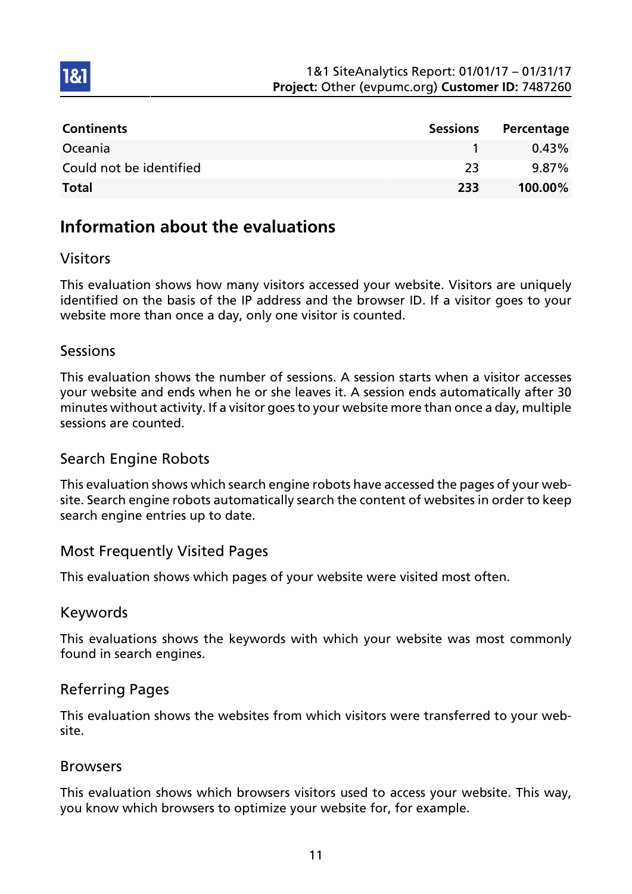| <b>Continents</b>       | <b>Sessions</b> | Percentage |
|-------------------------|-----------------|------------|
| Oceania                 |                 | 0.43%      |
| Could not be identified | -23             | $9.87\%$   |
| <b>Total</b>            | 233             | 100.00%    |

## Information about the evaluations

### Visitors

1&1

This evaluation shows how many visitors accessed your website. Visitors are uniquely identified on the basis of the IP address and the browser ID. If a visitor goes to your website more than once a day, only one visitor is counted.

### **Sessions**

This evaluation shows the number of sessions. A session starts when a visitor accesses your website and ends when he or she leaves it. A session ends automatically after 30 minutes without activity. If a visitor goes to your website more than once a day, multiple sessions are counted.

### Search Engine Robots

This evaluation shows which search engine robots have accessed the pages of your website. Search engine robots automatically search the content of websites in order to keep search engine entries up to date.

### Most Frequently Visited Pages

This evaluation shows which pages of your website were visited most often.

#### Keywords

This evaluations shows the keywords with which your website was most commonly found in search engines.

#### Referring Pages

This evaluation shows the websites from which visitors were transferred to your website.

#### Browsers

This evaluation shows which browsers visitors used to access your website. This way, you know which browsers to optimize your website for, for example.